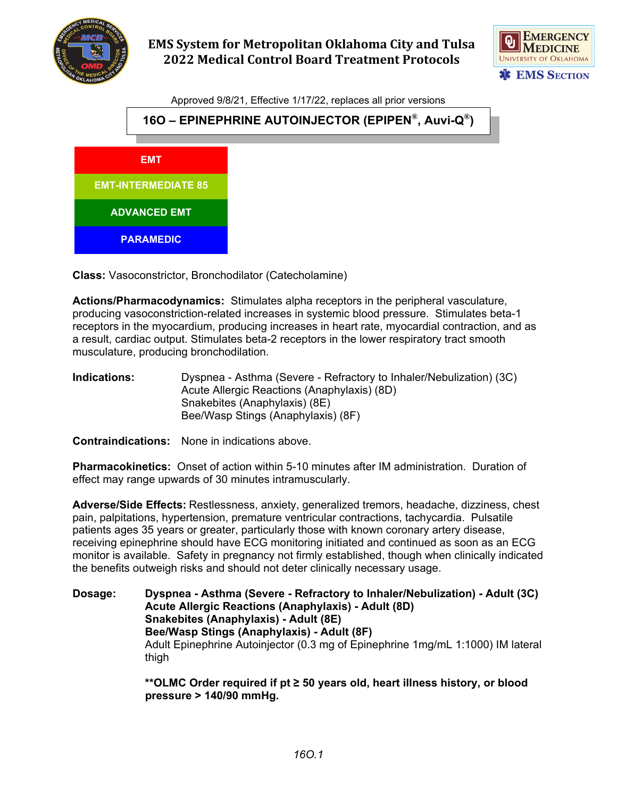

## **EMS System for Metropolitan Oklahoma City and Tulsa 2022 Medical Control Board Treatment Protocols**



Approved 9/8/21, Effective 1/17/22, replaces all prior versions



**Class:** Vasoconstrictor, Bronchodilator (Catecholamine)

**Actions/Pharmacodynamics:** Stimulates alpha receptors in the peripheral vasculature, producing vasoconstriction-related increases in systemic blood pressure. Stimulates beta-1 receptors in the myocardium, producing increases in heart rate, myocardial contraction, and as a result, cardiac output. Stimulates beta-2 receptors in the lower respiratory tract smooth musculature, producing bronchodilation.

**Indications:** Dyspnea - Asthma (Severe - Refractory to Inhaler/Nebulization) (3C) Acute Allergic Reactions (Anaphylaxis) (8D) Snakebites (Anaphylaxis) (8E) Bee/Wasp Stings (Anaphylaxis) (8F)

**Contraindications:** None in indications above.

**Pharmacokinetics:** Onset of action within 5-10 minutes after IM administration. Duration of effect may range upwards of 30 minutes intramuscularly.

**Adverse/Side Effects:** Restlessness, anxiety, generalized tremors, headache, dizziness, chest pain, palpitations, hypertension, premature ventricular contractions, tachycardia. Pulsatile patients ages 35 years or greater, particularly those with known coronary artery disease, receiving epinephrine should have ECG monitoring initiated and continued as soon as an ECG monitor is available. Safety in pregnancy not firmly established, though when clinically indicated the benefits outweigh risks and should not deter clinically necessary usage.

**Dosage: Dyspnea - Asthma (Severe - Refractory to Inhaler/Nebulization) - Adult (3C) Acute Allergic Reactions (Anaphylaxis) - Adult (8D) Snakebites (Anaphylaxis) - Adult (8E) Bee/Wasp Stings (Anaphylaxis) - Adult (8F)** Adult Epinephrine Autoinjector (0.3 mg of Epinephrine 1mg/mL 1:1000) IM lateral thigh

> **\*\*OLMC Order required if pt ≥ 50 years old, heart illness history, or blood pressure > 140/90 mmHg.**